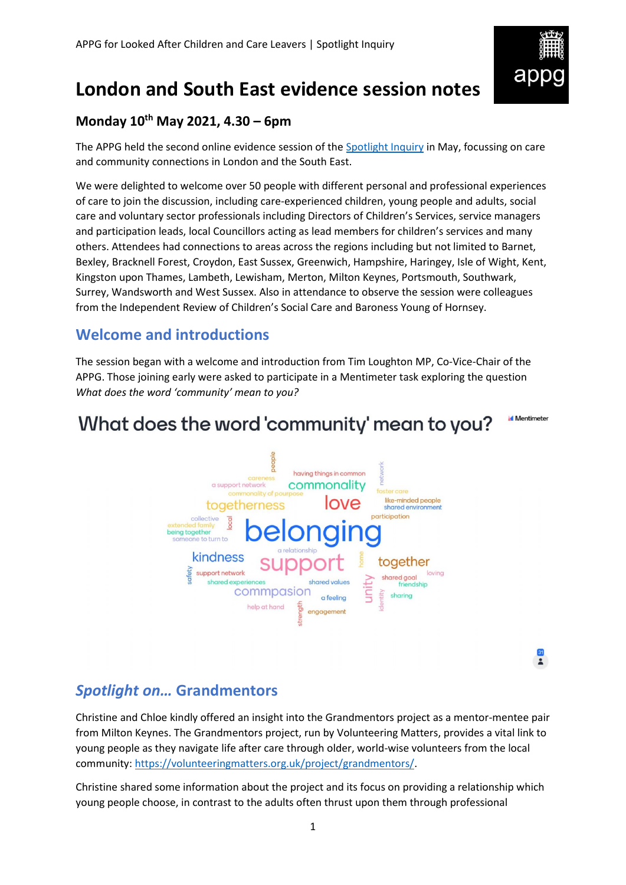

# **London and South East evidence session notes**

### **Monday 10th May 2021, 4.30 – 6pm**

The APPG held the second online evidence session of the [Spotlight Inquiry](https://becomecharity.org.uk/improving-the-care-system/appg/spotlight-inquiry/) in May, focussing on care and community connections in London and the South East.

We were delighted to welcome over 50 people with different personal and professional experiences of care to join the discussion, including care-experienced children, young people and adults, social care and voluntary sector professionals including Directors of Children's Services, service managers and participation leads, local Councillors acting as lead members for children's services and many others. Attendees had connections to areas across the regions including but not limited to Barnet, Bexley, Bracknell Forest, Croydon, East Sussex, Greenwich, Hampshire, Haringey, Isle of Wight, Kent, Kingston upon Thames, Lambeth, Lewisham, Merton, Milton Keynes, Portsmouth, Southwark, Surrey, Wandsworth and West Sussex. Also in attendance to observe the session were colleagues from the Independent Review of Children's Social Care and Baroness Young of Hornsey.

### **Welcome and introductions**

The session began with a welcome and introduction from Tim Loughton MP, Co-Vice-Chair of the APPG. Those joining early were asked to participate in a Mentimeter task exploring the question *What does the word 'community' mean to you?*

#### **Mentimeter** What does the word 'community' mean to you?



 $\frac{31}{2}$ 

## *Spotlight on…* **Grandmentors**

Christine and Chloe kindly offered an insight into the Grandmentors project as a mentor-mentee pair from Milton Keynes. The Grandmentors project, run by Volunteering Matters, provides a vital link to young people as they navigate life after care through older, world-wise volunteers from the local community: [https://volunteeringmatters.org.uk/project/grandmentors/.](https://volunteeringmatters.org.uk/project/grandmentors/)

Christine shared some information about the project and its focus on providing a relationship which young people choose, in contrast to the adults often thrust upon them through professional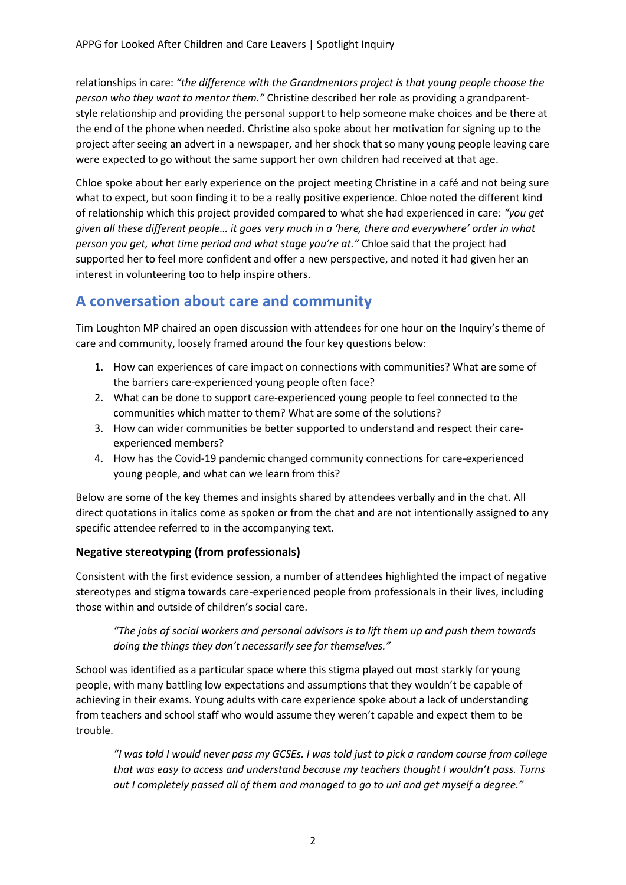relationships in care: *"the difference with the Grandmentors project is that young people choose the person who they want to mentor them."* Christine described her role as providing a grandparentstyle relationship and providing the personal support to help someone make choices and be there at the end of the phone when needed. Christine also spoke about her motivation for signing up to the project after seeing an advert in a newspaper, and her shock that so many young people leaving care were expected to go without the same support her own children had received at that age.

Chloe spoke about her early experience on the project meeting Christine in a café and not being sure what to expect, but soon finding it to be a really positive experience. Chloe noted the different kind of relationship which this project provided compared to what she had experienced in care: *"you get given all these different people… it goes very much in a 'here, there and everywhere' order in what person you get, what time period and what stage you're at."* Chloe said that the project had supported her to feel more confident and offer a new perspective, and noted it had given her an interest in volunteering too to help inspire others.

### **A conversation about care and community**

Tim Loughton MP chaired an open discussion with attendees for one hour on the Inquiry's theme of care and community, loosely framed around the four key questions below:

- 1. How can experiences of care impact on connections with communities? What are some of the barriers care-experienced young people often face?
- 2. What can be done to support care-experienced young people to feel connected to the communities which matter to them? What are some of the solutions?
- 3. How can wider communities be better supported to understand and respect their careexperienced members?
- 4. How has the Covid-19 pandemic changed community connections for care-experienced young people, and what can we learn from this?

Below are some of the key themes and insights shared by attendees verbally and in the chat. All direct quotations in italics come as spoken or from the chat and are not intentionally assigned to any specific attendee referred to in the accompanying text.

#### **Negative stereotyping (from professionals)**

Consistent with the first evidence session, a number of attendees highlighted the impact of negative stereotypes and stigma towards care-experienced people from professionals in their lives, including those within and outside of children's social care.

*"The jobs of social workers and personal advisors is to lift them up and push them towards doing the things they don't necessarily see for themselves."*

School was identified as a particular space where this stigma played out most starkly for young people, with many battling low expectations and assumptions that they wouldn't be capable of achieving in their exams. Young adults with care experience spoke about a lack of understanding from teachers and school staff who would assume they weren't capable and expect them to be trouble.

*"I was told I would never pass my GCSEs. I was told just to pick a random course from college that was easy to access and understand because my teachers thought I wouldn't pass. Turns out I completely passed all of them and managed to go to uni and get myself a degree."*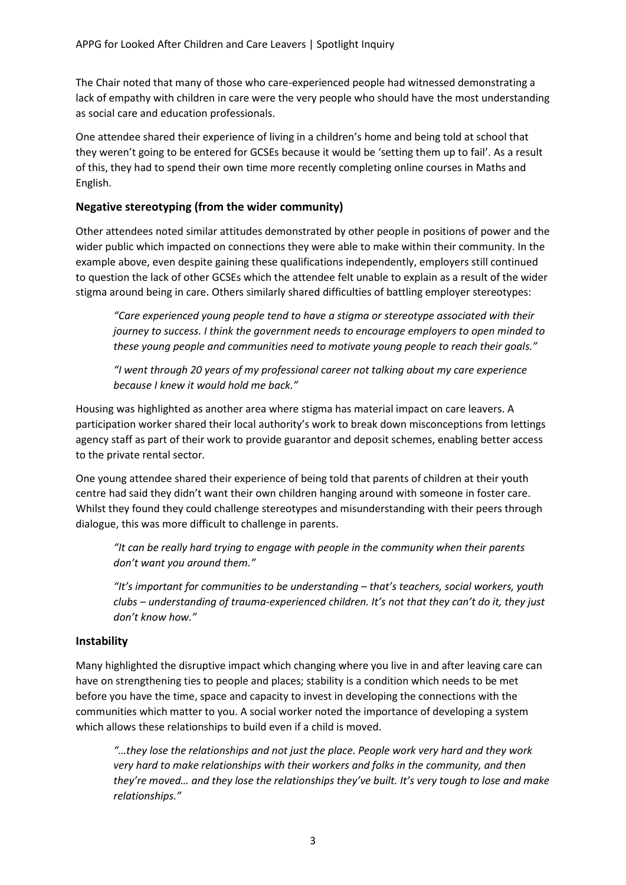The Chair noted that many of those who care-experienced people had witnessed demonstrating a lack of empathy with children in care were the very people who should have the most understanding as social care and education professionals.

One attendee shared their experience of living in a children's home and being told at school that they weren't going to be entered for GCSEs because it would be 'setting them up to fail'. As a result of this, they had to spend their own time more recently completing online courses in Maths and English.

#### **Negative stereotyping (from the wider community)**

Other attendees noted similar attitudes demonstrated by other people in positions of power and the wider public which impacted on connections they were able to make within their community. In the example above, even despite gaining these qualifications independently, employers still continued to question the lack of other GCSEs which the attendee felt unable to explain as a result of the wider stigma around being in care. Others similarly shared difficulties of battling employer stereotypes:

*"Care experienced young people tend to have a stigma or stereotype associated with their journey to success. I think the government needs to encourage employers to open minded to these young people and communities need to motivate young people to reach their goals."*

*"I went through 20 years of my professional career not talking about my care experience because I knew it would hold me back."*

Housing was highlighted as another area where stigma has material impact on care leavers. A participation worker shared their local authority's work to break down misconceptions from lettings agency staff as part of their work to provide guarantor and deposit schemes, enabling better access to the private rental sector.

One young attendee shared their experience of being told that parents of children at their youth centre had said they didn't want their own children hanging around with someone in foster care. Whilst they found they could challenge stereotypes and misunderstanding with their peers through dialogue, this was more difficult to challenge in parents.

*"It can be really hard trying to engage with people in the community when their parents don't want you around them."*

*"It's important for communities to be understanding – that's teachers, social workers, youth clubs – understanding of trauma-experienced children. It's not that they can't do it, they just don't know how."*

#### **Instability**

Many highlighted the disruptive impact which changing where you live in and after leaving care can have on strengthening ties to people and places; stability is a condition which needs to be met before you have the time, space and capacity to invest in developing the connections with the communities which matter to you. A social worker noted the importance of developing a system which allows these relationships to build even if a child is moved.

*"…they lose the relationships and not just the place. People work very hard and they work very hard to make relationships with their workers and folks in the community, and then they're moved… and they lose the relationships they've built. It's very tough to lose and make relationships."*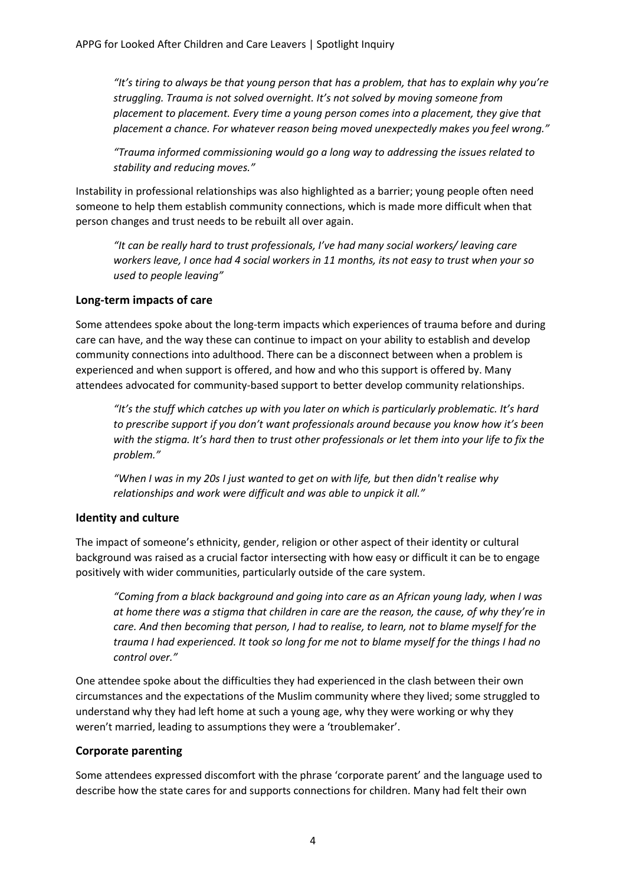*"It's tiring to always be that young person that has a problem, that has to explain why you're struggling. Trauma is not solved overnight. It's not solved by moving someone from placement to placement. Every time a young person comes into a placement, they give that placement a chance. For whatever reason being moved unexpectedly makes you feel wrong."*

*"Trauma informed commissioning would go a long way to addressing the issues related to stability and reducing moves."*

Instability in professional relationships was also highlighted as a barrier; young people often need someone to help them establish community connections, which is made more difficult when that person changes and trust needs to be rebuilt all over again.

*"It can be really hard to trust professionals, I've had many social workers/ leaving care workers leave, I once had 4 social workers in 11 months, its not easy to trust when your so used to people leaving"*

#### **Long-term impacts of care**

Some attendees spoke about the long-term impacts which experiences of trauma before and during care can have, and the way these can continue to impact on your ability to establish and develop community connections into adulthood. There can be a disconnect between when a problem is experienced and when support is offered, and how and who this support is offered by. Many attendees advocated for community-based support to better develop community relationships.

*"It's the stuff which catches up with you later on which is particularly problematic. It's hard to prescribe support if you don't want professionals around because you know how it's been with the stigma. It's hard then to trust other professionals or let them into your life to fix the problem."*

*"When I was in my 20s I just wanted to get on with life, but then didn't realise why relationships and work were difficult and was able to unpick it all."*

#### **Identity and culture**

The impact of someone's ethnicity, gender, religion or other aspect of their identity or cultural background was raised as a crucial factor intersecting with how easy or difficult it can be to engage positively with wider communities, particularly outside of the care system.

*"Coming from a black background and going into care as an African young lady, when I was at home there was a stigma that children in care are the reason, the cause, of why they're in care. And then becoming that person, I had to realise, to learn, not to blame myself for the trauma I had experienced. It took so long for me not to blame myself for the things I had no control over."* 

One attendee spoke about the difficulties they had experienced in the clash between their own circumstances and the expectations of the Muslim community where they lived; some struggled to understand why they had left home at such a young age, why they were working or why they weren't married, leading to assumptions they were a 'troublemaker'.

#### **Corporate parenting**

Some attendees expressed discomfort with the phrase 'corporate parent' and the language used to describe how the state cares for and supports connections for children. Many had felt their own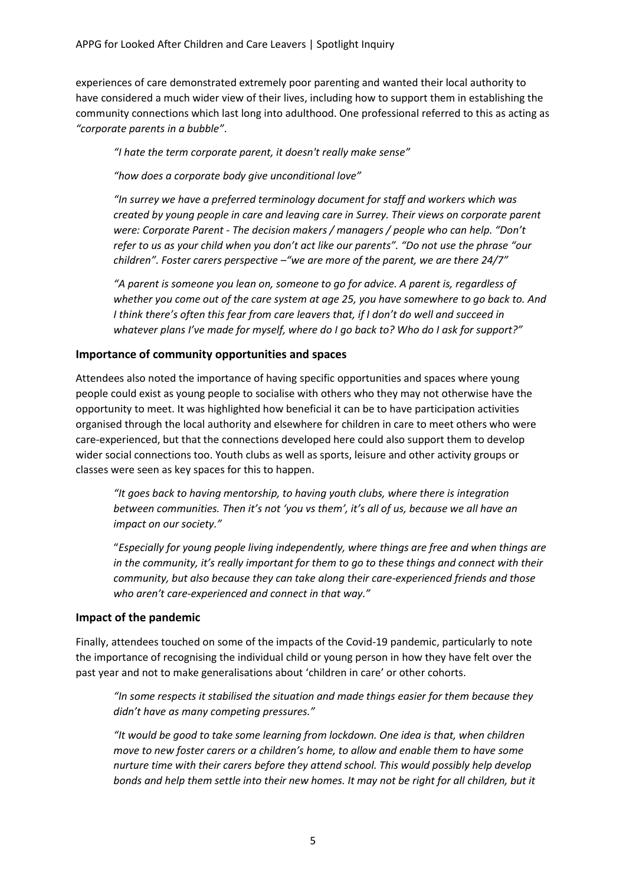experiences of care demonstrated extremely poor parenting and wanted their local authority to have considered a much wider view of their lives, including how to support them in establishing the community connections which last long into adulthood. One professional referred to this as acting as *"corporate parents in a bubble"*.

*"I hate the term corporate parent, it doesn't really make sense"*

*"how does a corporate body give unconditional love"*

*"In surrey we have a preferred terminology document for staff and workers which was created by young people in care and leaving care in Surrey. Their views on corporate parent were: Corporate Parent - The decision makers / managers / people who can help. "Don't refer to us as your child when you don't act like our parents". "Do not use the phrase "our children". Foster carers perspective –"we are more of the parent, we are there 24/7"*

*"A parent is someone you lean on, someone to go for advice. A parent is, regardless of whether you come out of the care system at age 25, you have somewhere to go back to. And I think there's often this fear from care leavers that, if I don't do well and succeed in whatever plans I've made for myself, where do I go back to? Who do I ask for support?"*

#### **Importance of community opportunities and spaces**

Attendees also noted the importance of having specific opportunities and spaces where young people could exist as young people to socialise with others who they may not otherwise have the opportunity to meet. It was highlighted how beneficial it can be to have participation activities organised through the local authority and elsewhere for children in care to meet others who were care-experienced, but that the connections developed here could also support them to develop wider social connections too. Youth clubs as well as sports, leisure and other activity groups or classes were seen as key spaces for this to happen.

*"It goes back to having mentorship, to having youth clubs, where there is integration between communities. Then it's not 'you vs them', it's all of us, because we all have an impact on our society."*

"*Especially for young people living independently, where things are free and when things are in the community, it's really important for them to go to these things and connect with their community, but also because they can take along their care-experienced friends and those who aren't care-experienced and connect in that way."*

#### **Impact of the pandemic**

Finally, attendees touched on some of the impacts of the Covid-19 pandemic, particularly to note the importance of recognising the individual child or young person in how they have felt over the past year and not to make generalisations about 'children in care' or other cohorts.

*"In some respects it stabilised the situation and made things easier for them because they didn't have as many competing pressures."*

*"It would be good to take some learning from lockdown. One idea is that, when children move to new foster carers or a children's home, to allow and enable them to have some nurture time with their carers before they attend school. This would possibly help develop bonds and help them settle into their new homes. It may not be right for all children, but it*